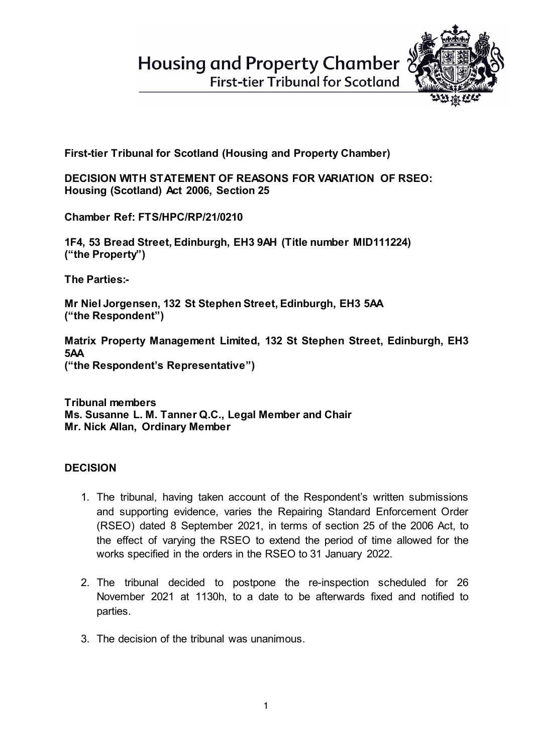**Housing and Property Chamber** 



**First-tier Tribunal for Scotland** 

**First-tier Tribunal for Scotland (Housing and Property Chamber)** 

**DECISION WITH STATEMENT OF REASONS FOR VARIATION OF RSEO: Housing (Scotland) Act 2006, Section 25**

**Chamber Ref: FTS/HPC/RP/21/0210**

**1F4, 53 Bread Street, Edinburgh, EH3 9AH (Title number MID111224) ("the Property")**

**The Parties:-**

**Mr Niel Jorgensen, 132 St Stephen Street, Edinburgh, EH3 5AA ("the Respondent")** 

**Matrix Property Management Limited, 132 St Stephen Street, Edinburgh, EH3 5AA ("the Respondent's Representative")**

**Tribunal members Ms. Susanne L. M. Tanner Q.C., Legal Member and Chair Mr. Nick Allan, Ordinary Member**

## **DECISION**

- 1. The tribunal, having taken account of the Respondent's written submissions and supporting evidence, varies the Repairing Standard Enforcement Order (RSEO) dated 8 September 2021, in terms of section 25 of the 2006 Act, to the effect of varying the RSEO to extend the period of time allowed for the works specified in the orders in the RSEO to 31 January 2022.
- 2. The tribunal decided to postpone the re-inspection scheduled for 26 November 2021 at 1130h, to a date to be afterwards fixed and notified to parties.
- 3. The decision of the tribunal was unanimous.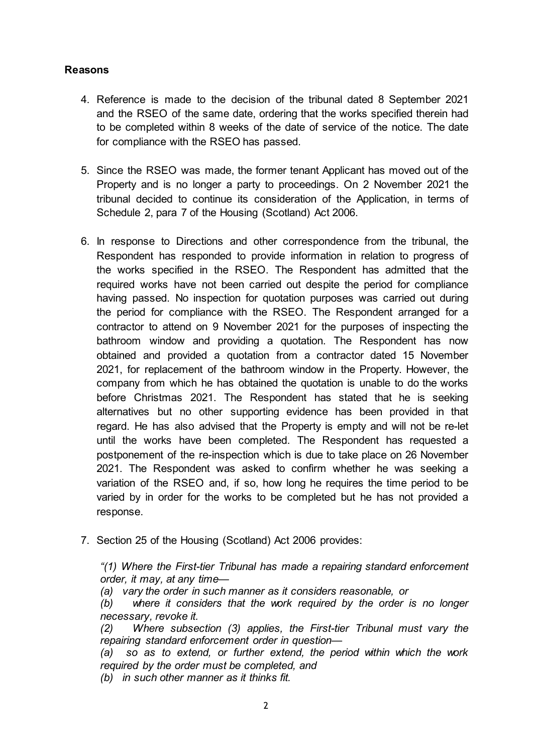## **Reasons**

- 4. Reference is made to the decision of the tribunal dated 8 September 2021 and the RSEO of the same date, ordering that the works specified therein had to be completed within 8 weeks of the date of service of the notice. The date for compliance with the RSEO has passed.
- 5. Since the RSEO was made, the former tenant Applicant has moved out of the Property and is no longer a party to proceedings. On 2 November 2021 the tribunal decided to continue its consideration of the Application, in terms of Schedule 2, para 7 of the Housing (Scotland) Act 2006.
- 6. In response to Directions and other correspondence from the tribunal, the Respondent has responded to provide information in relation to progress of the works specified in the RSEO. The Respondent has admitted that the required works have not been carried out despite the period for compliance having passed. No inspection for quotation purposes was carried out during the period for compliance with the RSEO. The Respondent arranged for a contractor to attend on 9 November 2021 for the purposes of inspecting the bathroom window and providing a quotation. The Respondent has now obtained and provided a quotation from a contractor dated 15 November 2021, for replacement of the bathroom window in the Property. However, the company from which he has obtained the quotation is unable to do the works before Christmas 2021. The Respondent has stated that he is seeking alternatives but no other supporting evidence has been provided in that regard. He has also advised that the Property is empty and will not be re-let until the works have been completed. The Respondent has requested a postponement of the re-inspection which is due to take place on 26 November 2021. The Respondent was asked to confirm whether he was seeking a variation of the RSEO and, if so, how long he requires the time period to be varied by in order for the works to be completed but he has not provided a response.
- 7. Section 25 of the Housing (Scotland) Act 2006 provides:

*"(1) Where the First-tier Tribunal has made a repairing standard enforcement order, it may, at any time—*

*(a) vary the order in such manner as it considers reasonable, or* 

*(b) where it considers that the work required by the order is no longer necessary, revoke it.* 

*(2) Where subsection (3) applies, the First-tier Tribunal must vary the repairing standard enforcement order in question—*

*(a) so as to extend, or further extend, the period within which the work required by the order must be completed, and*

*(b) in such other manner as it thinks fit.*